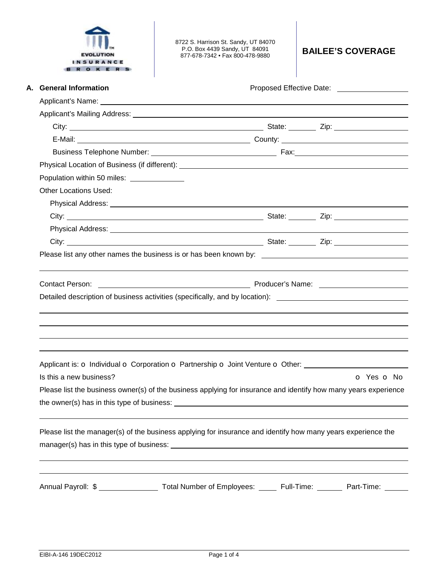

8722 S. Harrison St. Sandy, UT 84070 P.O. Box 4439 Sandy, UT 84091 877-678-7342 • Fax 800-478-9880 **BAILEE'S COVERAGE** 

| A. General Information                                                                                                                                                                                                               | Proposed Effective Date: National Assembly Proposed Effective Date: |
|--------------------------------------------------------------------------------------------------------------------------------------------------------------------------------------------------------------------------------------|---------------------------------------------------------------------|
| Applicant's Name: <u>example and a series of the series of the series of the series of the series of the series of the series of the series of the series of the series of the series of the series of the series of the series </u> |                                                                     |
|                                                                                                                                                                                                                                      |                                                                     |
|                                                                                                                                                                                                                                      |                                                                     |
|                                                                                                                                                                                                                                      |                                                                     |
|                                                                                                                                                                                                                                      |                                                                     |
|                                                                                                                                                                                                                                      |                                                                     |
| Population within 50 miles: ______________                                                                                                                                                                                           |                                                                     |
| <b>Other Locations Used:</b>                                                                                                                                                                                                         |                                                                     |
|                                                                                                                                                                                                                                      |                                                                     |
|                                                                                                                                                                                                                                      |                                                                     |
|                                                                                                                                                                                                                                      |                                                                     |
|                                                                                                                                                                                                                                      |                                                                     |
| Please list any other names the business is or has been known by: __________________________________                                                                                                                                 |                                                                     |
| <b>Contact Person:</b>                                                                                                                                                                                                               |                                                                     |
| Detailed description of business activities (specifically, and by location): ________________________________                                                                                                                        |                                                                     |
|                                                                                                                                                                                                                                      |                                                                     |
|                                                                                                                                                                                                                                      |                                                                     |
|                                                                                                                                                                                                                                      |                                                                     |
|                                                                                                                                                                                                                                      |                                                                     |
| Applicant is: o Individual o Corporation o Partnership o Joint Venture o Other: ____________________                                                                                                                                 |                                                                     |
| Is this a new business?                                                                                                                                                                                                              | O Yes O No                                                          |
|                                                                                                                                                                                                                                      |                                                                     |
| Please list the business owner(s) of the business applying for insurance and identify how many years experience                                                                                                                      |                                                                     |
|                                                                                                                                                                                                                                      |                                                                     |
|                                                                                                                                                                                                                                      |                                                                     |
| Please list the manager(s) of the business applying for insurance and identify how many years experience the                                                                                                                         |                                                                     |
|                                                                                                                                                                                                                                      |                                                                     |
|                                                                                                                                                                                                                                      |                                                                     |
| Annual Payroll: \$ ____________________Total Number of Employees: ______ Full-Time: ________ Part-Time: ______                                                                                                                       |                                                                     |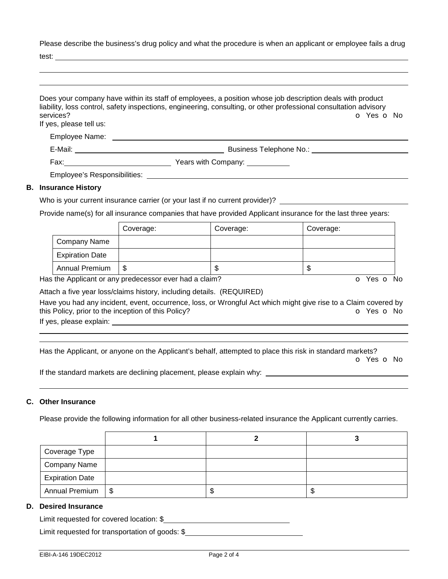Please describe the business's drug policy and what the procedure is when an applicant or employee fails a drug

test:

|                                      | Does your company have within its staff of employees, a position whose job description deals with product<br>liability, loss control, safety inspections, engineering, consulting, or other professional consultation advisory |
|--------------------------------------|--------------------------------------------------------------------------------------------------------------------------------------------------------------------------------------------------------------------------------|
| services?<br>If yes, please tell us: | O Yes O No                                                                                                                                                                                                                     |
|                                      |                                                                                                                                                                                                                                |
|                                      | E-Mail: E-Mail: <b>E-Mail:</b> Business Telephone No.: <b>E-Mail:</b> Business Telephone No.: <b>E-Mail: E-Mail: E-Mail: E-Mail: E-Mail: E-Mail: E-Mail: E-Mail: E-Mail: E-Mail: E-Mail: E-Mail: E-Mail: E-Mail:</b>           |
|                                      |                                                                                                                                                                                                                                |
|                                      | Employee's Responsibilities: Network and the set of the set of the set of the set of the set of the set of the                                                                                                                 |
| <b>B.</b> Insurance History          |                                                                                                                                                                                                                                |
|                                      | Who is your current insurance carrier (or your last if no current provider)?                                                                                                                                                   |

# Provide name(s) for all insurance companies that have provided Applicant insurance for the last three years:

|                        | Coverage: | Coverage: | Coverage: |
|------------------------|-----------|-----------|-----------|
| Company Name           |           |           |           |
| <b>Expiration Date</b> |           |           |           |
| <b>Annual Premium</b>  | \$        | ъD        | ۰D        |

Has the Applicant or any predecessor ever had a claim? The Contract of Monocomusic Contract of No. The Contract O

Attach a five year loss/claims history, including details. (REQUIRED)

Have you had any incident, event, occurrence, loss, or Wrongful Act which might give rise to a Claim covered by this Policy, prior to the inception of this Policy? **o Yes o No** Yes **o** No

If yes, please explain:

 

Has the Applicant, or anyone on the Applicant's behalf, attempted to place this risk in standard markets?

o Yes o No

If the standard markets are declining placement, please explain why:

### **C. Other Insurance**

Please provide the following information for all other business-related insurance the Applicant currently carries.

| Coverage Type          |    |   |
|------------------------|----|---|
| <b>Company Name</b>    |    |   |
| <b>Expiration Date</b> |    |   |
| Annual Premium   \$    | ъD | Œ |

#### **D. Desired Insurance**

Limit requested for covered location: \$

Limit requested for transportation of goods: \$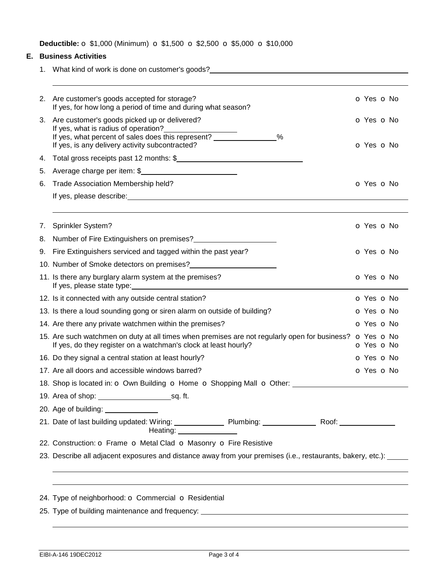**Deductible: o** \$1,000 (Minimum) **o** \$1,500 **o** \$2,500 **o** \$5,000 **o** \$10,000

## **E. Business Activities**

1. What kind of work is done on customer's goods?

| 2. | Are customer's goods accepted for storage?<br>If yes, for how long a period of time and during what season?                                                                                     | O Yes O No               |
|----|-------------------------------------------------------------------------------------------------------------------------------------------------------------------------------------------------|--------------------------|
| 3. | Are customer's goods picked up or delivered?<br>If yes, what is radius of operation?<br>If yes, what percent of sales does this represent? %<br>If yes, is any delivery activity subcontracted? | O Yes O No<br>O Yes O No |
| 4. | Total gross receipts past 12 months: \$                                                                                                                                                         |                          |
| 5. | Average charge per item: \$                                                                                                                                                                     |                          |
| 6. | Trade Association Membership held?                                                                                                                                                              | O Yes O No               |
|    |                                                                                                                                                                                                 |                          |
|    |                                                                                                                                                                                                 |                          |
| 7. | Sprinkler System?                                                                                                                                                                               | O Yes O No               |
| 8. | Number of Fire Extinguishers on premises?<br><u> </u>                                                                                                                                           |                          |
| 9. | Fire Extinguishers serviced and tagged within the past year?                                                                                                                                    | O Yes O No               |
|    | 10. Number of Smoke detectors on premises?<br><u> </u>                                                                                                                                          |                          |
|    | 11. Is there any burglary alarm system at the premises?                                                                                                                                         | O Yes O No               |
|    | 12. Is it connected with any outside central station?                                                                                                                                           | O Yes O No               |
|    | 13. Is there a loud sounding gong or siren alarm on outside of building?                                                                                                                        | O Yes O No               |
|    | 14. Are there any private watchmen within the premises?                                                                                                                                         | O Yes O No               |
|    | 15. Are such watchmen on duty at all times when premises are not regularly open for business? o Yes o No<br>If yes, do they register on a watchman's clock at least hourly?                     | O Yes O No               |
|    | 16. Do they signal a central station at least hourly?                                                                                                                                           | O Yes O No               |
|    | 17. Are all doors and accessible windows barred?                                                                                                                                                | O Yes O No               |
|    | 18. Shop is located in: $\bullet$ Own Building $\bullet$ Home $\bullet$ Shopping Mall $\bullet$ Other:                                                                                          |                          |
|    |                                                                                                                                                                                                 |                          |
|    | 20. Age of building: 1990 1990 1990 1991                                                                                                                                                        |                          |
|    | Heating: Nearly Measurer                                                                                                                                                                        |                          |
|    |                                                                                                                                                                                                 |                          |
|    | 22. Construction: O Frame O Metal Clad O Masonry O Fire Resistive                                                                                                                               |                          |

25. Type of building maintenance and frequency: